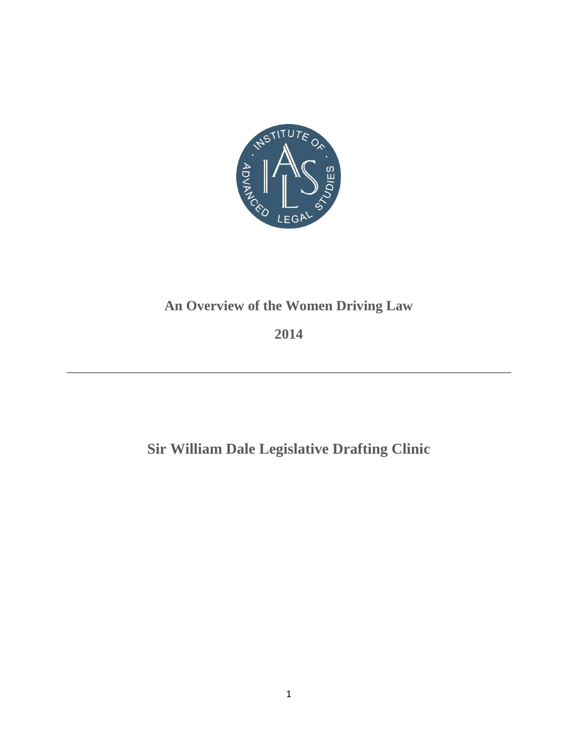

## **An Overview of the Women Driving Law**

**2014**

**Sir William Dale Legislative Drafting Clinic**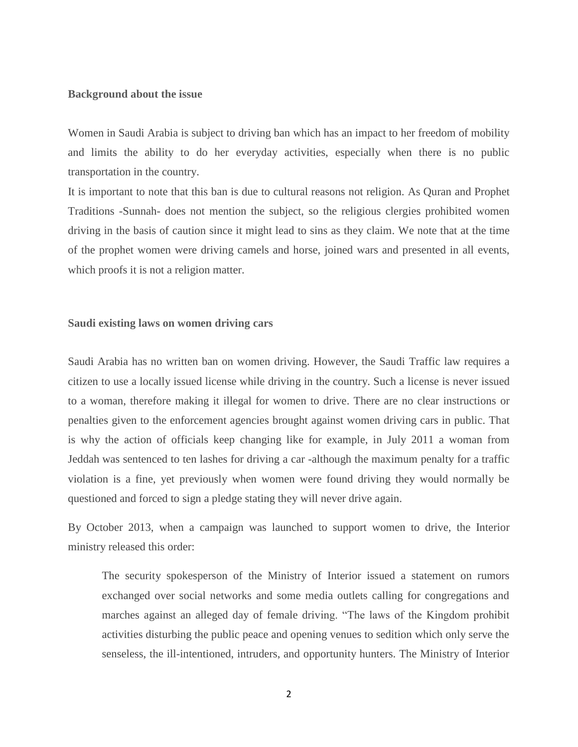#### **Background about the issue**

Women in Saudi Arabia is subject to driving ban which has an impact to her freedom of mobility and limits the ability to do her everyday activities, especially when there is no public transportation in the country.

It is important to note that this ban is due to cultural reasons not religion. As Quran and Prophet Traditions -Sunnah- does not mention the subject, so the religious clergies prohibited women driving in the basis of caution since it might lead to sins as they claim. We note that at the time of the prophet women were driving camels and horse, joined wars and presented in all events, which proofs it is not a religion matter.

#### **Saudi existing laws on women driving cars**

Saudi Arabia has no written ban on women driving. However, the Saudi Traffic law requires a citizen to use a locally issued license while driving in the country. Such a license is never issued to a woman, therefore making it illegal for women to drive. There are no clear instructions or penalties given to the enforcement agencies brought against women driving cars in public. That is why the action of officials keep changing like for example, in July 2011 a woman from Jeddah was sentenced to ten lashes for driving a car -although the maximum penalty for a traffic violation is a fine, yet previously when women were found driving they would normally be questioned and forced to sign a pledge stating they will never drive again.

By October 2013, when a campaign was launched to support women to drive, the Interior ministry released this order:

The security spokesperson of the Ministry of Interior issued a statement on rumors exchanged over social networks and some media outlets calling for congregations and marches against an alleged day of female driving. "The laws of the Kingdom prohibit activities disturbing the public peace and opening venues to sedition which only serve the senseless, the ill-intentioned, intruders, and opportunity hunters. The Ministry of Interior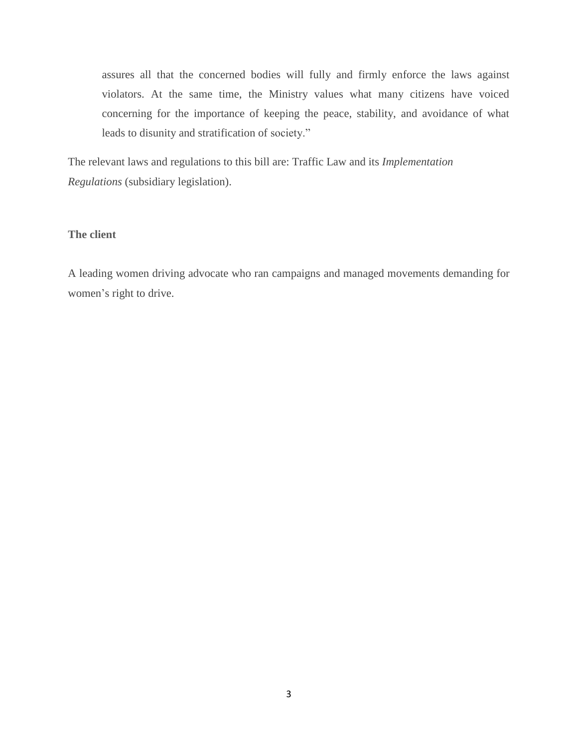assures all that the concerned bodies will fully and firmly enforce the laws against violators. At the same time, the Ministry values what many citizens have voiced concerning for the importance of keeping the peace, stability, and avoidance of what leads to disunity and stratification of society."

The relevant laws and regulations to this bill are: Traffic Law and its *Implementation Regulations* (subsidiary legislation).

## **The client**

A leading women driving advocate who ran campaigns and managed movements demanding for women's right to drive.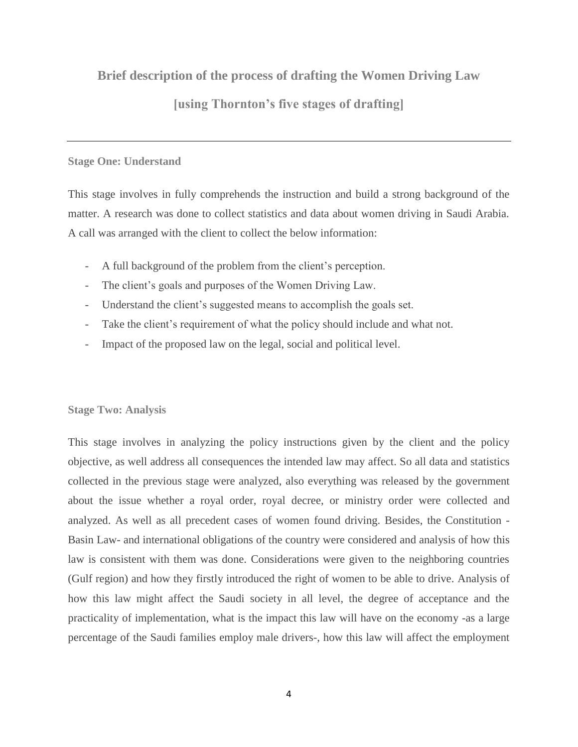## **Brief description of the process of drafting the Women Driving Law**

## **[using Thornton's five stages of drafting]**

## **Stage One: Understand**

This stage involves in fully comprehends the instruction and build a strong background of the matter. A research was done to collect statistics and data about women driving in Saudi Arabia. A call was arranged with the client to collect the below information:

- A full background of the problem from the client's perception.
- The client's goals and purposes of the Women Driving Law.
- Understand the client's suggested means to accomplish the goals set.
- Take the client's requirement of what the policy should include and what not.
- Impact of the proposed law on the legal, social and political level.

## **Stage Two: Analysis**

This stage involves in analyzing the policy instructions given by the client and the policy objective, as well address all consequences the intended law may affect. So all data and statistics collected in the previous stage were analyzed, also everything was released by the government about the issue whether a royal order, royal decree, or ministry order were collected and analyzed. As well as all precedent cases of women found driving. Besides, the Constitution - Basin Law- and international obligations of the country were considered and analysis of how this law is consistent with them was done. Considerations were given to the neighboring countries (Gulf region) and how they firstly introduced the right of women to be able to drive. Analysis of how this law might affect the Saudi society in all level, the degree of acceptance and the practicality of implementation, what is the impact this law will have on the economy -as a large percentage of the Saudi families employ male drivers-, how this law will affect the employment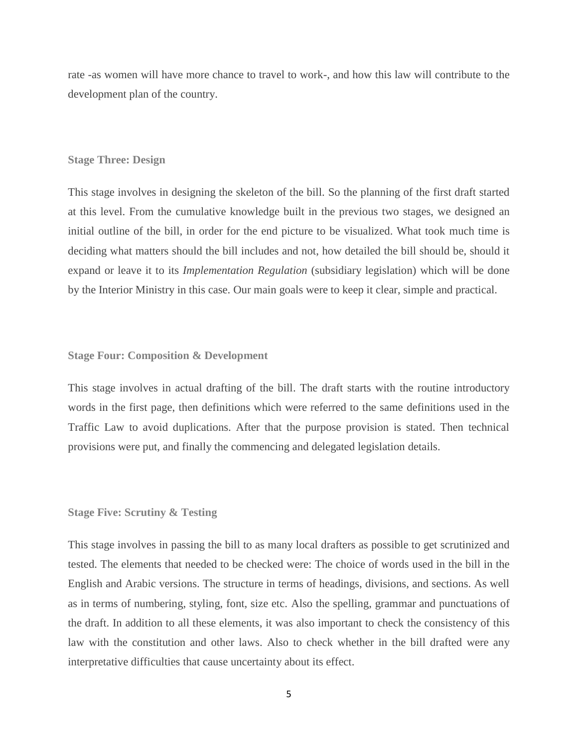rate -as women will have more chance to travel to work-, and how this law will contribute to the development plan of the country.

#### **Stage Three: Design**

This stage involves in designing the skeleton of the bill. So the planning of the first draft started at this level. From the cumulative knowledge built in the previous two stages, we designed an initial outline of the bill, in order for the end picture to be visualized. What took much time is deciding what matters should the bill includes and not, how detailed the bill should be, should it expand or leave it to its *Implementation Regulation* (subsidiary legislation) which will be done by the Interior Ministry in this case. Our main goals were to keep it clear, simple and practical.

#### **Stage Four: Composition & Development**

This stage involves in actual drafting of the bill. The draft starts with the routine introductory words in the first page, then definitions which were referred to the same definitions used in the Traffic Law to avoid duplications. After that the purpose provision is stated. Then technical provisions were put, and finally the commencing and delegated legislation details.

#### **Stage Five: Scrutiny & Testing**

This stage involves in passing the bill to as many local drafters as possible to get scrutinized and tested. The elements that needed to be checked were: The choice of words used in the bill in the English and Arabic versions. The structure in terms of headings, divisions, and sections. As well as in terms of numbering, styling, font, size etc. Also the spelling, grammar and punctuations of the draft. In addition to all these elements, it was also important to check the consistency of this law with the constitution and other laws. Also to check whether in the bill drafted were any interpretative difficulties that cause uncertainty about its effect.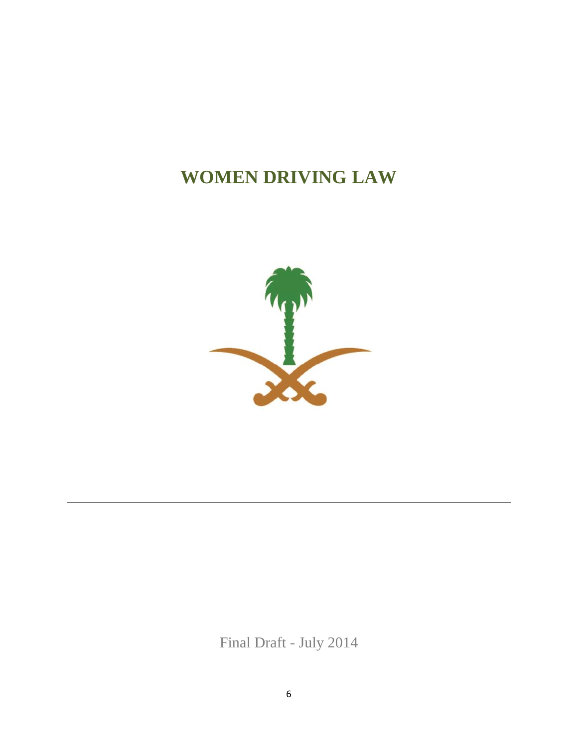# **WOMEN DRIVING LAW**



Final Draft - July 2014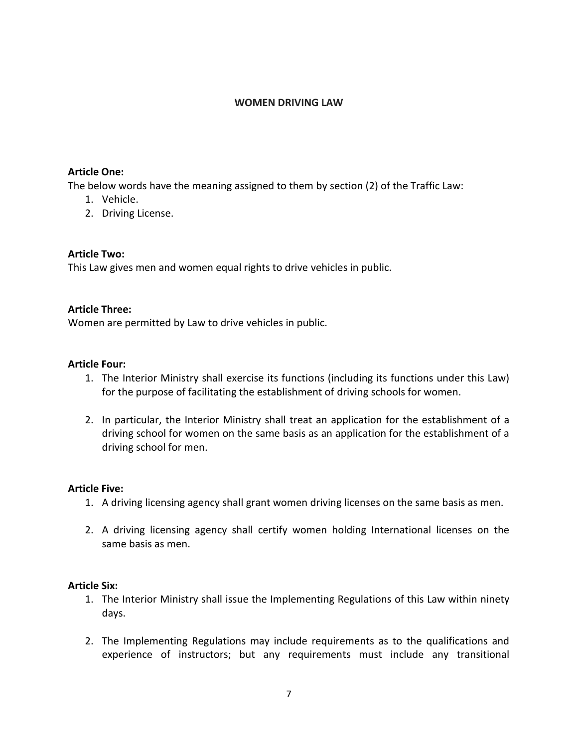#### **WOMEN DRIVING LAW**

## **Article One:**

The below words have the meaning assigned to them by section (2) of the Traffic Law:

- 1. Vehicle.
- 2. Driving License.

## **Article Two:**

This Law gives men and women equal rights to drive vehicles in public.

## **Article Three:**

Women are permitted by Law to drive vehicles in public.

### **Article Four:**

- 1. The Interior Ministry shall exercise its functions (including its functions under this Law) for the purpose of facilitating the establishment of driving schools for women.
- 2. In particular, the Interior Ministry shall treat an application for the establishment of a driving school for women on the same basis as an application for the establishment of a driving school for men.

#### **Article Five:**

- 1. A driving licensing agency shall grant women driving licenses on the same basis as men.
- 2. A driving licensing agency shall certify women holding International licenses on the same basis as men.

## **Article Six:**

- 1. The Interior Ministry shall issue the Implementing Regulations of this Law within ninety days.
- 2. The Implementing Regulations may include requirements as to the qualifications and experience of instructors; but any requirements must include any transitional